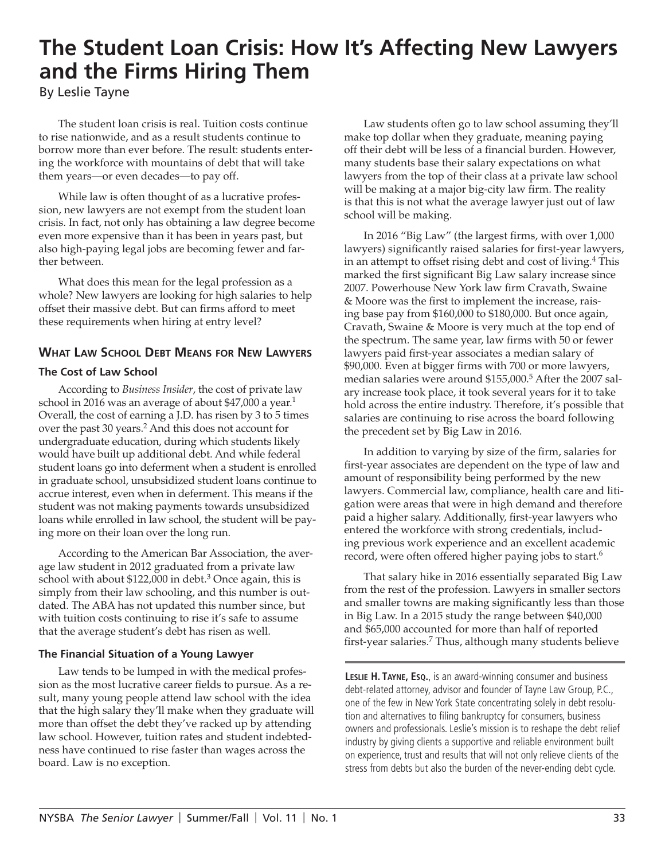# **The Student Loan Crisis: How It's Affecting New Lawyers and the Firms Hiring Them**

By Leslie Tayne

The student loan crisis is real. Tuition costs continue to rise nationwide, and as a result students continue to borrow more than ever before. The result: students entering the workforce with mountains of debt that will take them years—or even decades—to pay off.

While law is often thought of as a lucrative profession, new lawyers are not exempt from the student loan crisis. In fact, not only has obtaining a law degree become even more expensive than it has been in years past, but also high-paying legal jobs are becoming fewer and farther between.

What does this mean for the legal profession as a whole? New lawyers are looking for high salaries to help offset their massive debt. But can firms afford to meet these requirements when hiring at entry level?

# **What Law School Debt Means for New Lawyers**

# **The Cost of Law School**

According to *Business Insider*, the cost of private law school in 2016 was an average of about \$47,000 a year.<sup>1</sup> Overall, the cost of earning a J.D. has risen by 3 to 5 times over the past 30 years.<sup>2</sup> And this does not account for undergraduate education, during which students likely would have built up additional debt. And while federal student loans go into deferment when a student is enrolled in graduate school, unsubsidized student loans continue to accrue interest, even when in deferment. This means if the student was not making payments towards unsubsidized loans while enrolled in law school, the student will be paying more on their loan over the long run.

According to the American Bar Association, the average law student in 2012 graduated from a private law school with about \$122,000 in debt.<sup>3</sup> Once again, this is simply from their law schooling, and this number is outdated. The ABA has not updated this number since, but with tuition costs continuing to rise it's safe to assume that the average student's debt has risen as well.

## **The Financial Situation of a Young Lawyer**

Law tends to be lumped in with the medical profession as the most lucrative career fields to pursue. As a result, many young people attend law school with the idea that the high salary they'll make when they graduate will more than offset the debt they've racked up by attending law school. However, tuition rates and student indebtedness have continued to rise faster than wages across the board. Law is no exception.

Law students often go to law school assuming they'll make top dollar when they graduate, meaning paying off their debt will be less of a financial burden. However, many students base their salary expectations on what lawyers from the top of their class at a private law school will be making at a major big-city law firm. The reality is that this is not what the average lawyer just out of law school will be making.

In 2016 "Big Law" (the largest firms, with over 1,000 lawyers) significantly raised salaries for first-year lawyers, in an attempt to offset rising debt and cost of living.<sup>4</sup> This marked the first significant Big Law salary increase since 2007. Powerhouse New York law firm Cravath, Swaine & Moore was the first to implement the increase, raising base pay from \$160,000 to \$180,000. But once again, Cravath, Swaine & Moore is very much at the top end of the spectrum. The same year, law firms with 50 or fewer lawyers paid first-year associates a median salary of \$90,000. Even at bigger firms with 700 or more lawyers, median salaries were around \$155,000.<sup>5</sup> After the 2007 salary increase took place, it took several years for it to take hold across the entire industry. Therefore, it's possible that salaries are continuing to rise across the board following the precedent set by Big Law in 2016.

In addition to varying by size of the firm, salaries for first-year associates are dependent on the type of law and amount of responsibility being performed by the new lawyers. Commercial law, compliance, health care and litigation were areas that were in high demand and therefore paid a higher salary. Additionally, first-year lawyers who entered the workforce with strong credentials, including previous work experience and an excellent academic record, were often offered higher paying jobs to start.<sup>6</sup>

That salary hike in 2016 essentially separated Big Law from the rest of the profession. Lawyers in smaller sectors and smaller towns are making significantly less than those in Big Law. In a 2015 study the range between \$40,000 and \$65,000 accounted for more than half of reported first-year salaries.<sup>7</sup> Thus, although many students believe

**Leslie H. Tayne, Esq.**, is an award-winning consumer and business debt-related attorney, advisor and founder of Tayne Law Group, P.C., one of the few in New York State concentrating solely in debt resolution and alternatives to filing bankruptcy for consumers, business owners and professionals. Leslie's mission is to reshape the debt relief industry by giving clients a supportive and reliable environment built on experience, trust and results that will not only relieve clients of the stress from debts but also the burden of the never-ending debt cycle.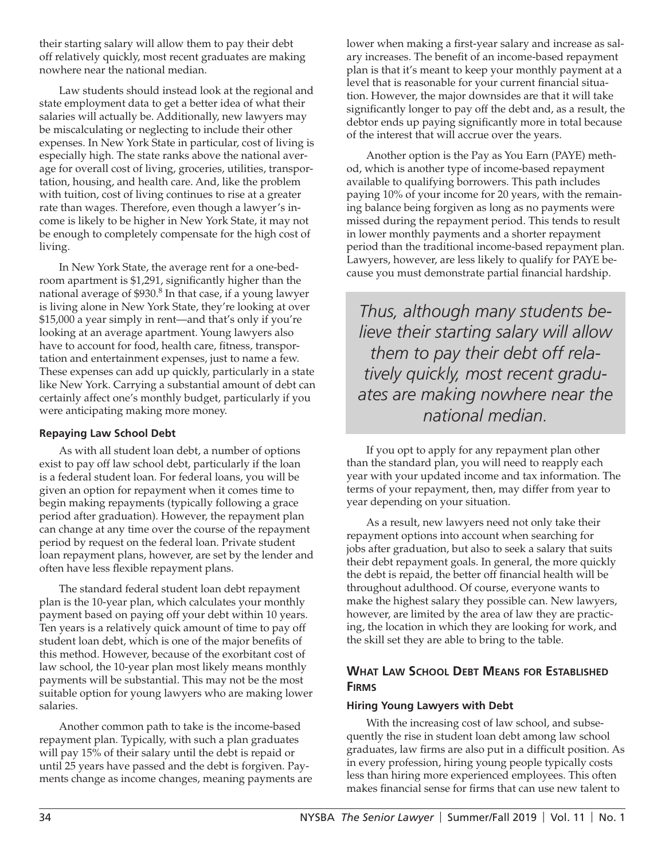their starting salary will allow them to pay their debt off relatively quickly, most recent graduates are making nowhere near the national median.

Law students should instead look at the regional and state employment data to get a better idea of what their salaries will actually be. Additionally, new lawyers may be miscalculating or neglecting to include their other expenses. In New York State in particular, cost of living is especially high. The state ranks above the national average for overall cost of living, groceries, utilities, transportation, housing, and health care. And, like the problem with tuition, cost of living continues to rise at a greater rate than wages. Therefore, even though a lawyer's income is likely to be higher in New York State, it may not be enough to completely compensate for the high cost of living.

In New York State, the average rent for a one-bedroom apartment is \$1,291, significantly higher than the national average of  $$930.<sup>8</sup>$  In that case, if a young lawyer is living alone in New York State, they're looking at over \$15,000 a year simply in rent—and that's only if you're looking at an average apartment. Young lawyers also have to account for food, health care, fitness, transportation and entertainment expenses, just to name a few. These expenses can add up quickly, particularly in a state like New York. Carrying a substantial amount of debt can certainly affect one's monthly budget, particularly if you were anticipating making more money.

### **Repaying Law School Debt**

As with all student loan debt, a number of options exist to pay off law school debt, particularly if the loan is a federal student loan. For federal loans, you will be given an option for repayment when it comes time to begin making repayments (typically following a grace period after graduation). However, the repayment plan can change at any time over the course of the repayment period by request on the federal loan. Private student loan repayment plans, however, are set by the lender and often have less flexible repayment plans.

The standard federal student loan debt repayment plan is the 10-year plan, which calculates your monthly payment based on paying off your debt within 10 years. Ten years is a relatively quick amount of time to pay off student loan debt, which is one of the major benefits of this method. However, because of the exorbitant cost of law school, the 10-year plan most likely means monthly payments will be substantial. This may not be the most suitable option for young lawyers who are making lower salaries.

Another common path to take is the income-based repayment plan. Typically, with such a plan graduates will pay 15% of their salary until the debt is repaid or until 25 years have passed and the debt is forgiven. Payments change as income changes, meaning payments are lower when making a first-year salary and increase as salary increases. The benefit of an income-based repayment plan is that it's meant to keep your monthly payment at a level that is reasonable for your current financial situation. However, the major downsides are that it will take significantly longer to pay off the debt and, as a result, the debtor ends up paying significantly more in total because of the interest that will accrue over the years.

Another option is the Pay as You Earn (PAYE) method, which is another type of income-based repayment available to qualifying borrowers. This path includes paying 10% of your income for 20 years, with the remaining balance being forgiven as long as no payments were missed during the repayment period. This tends to result in lower monthly payments and a shorter repayment period than the traditional income-based repayment plan. Lawyers, however, are less likely to qualify for PAYE because you must demonstrate partial financial hardship.

*Thus, although many students believe their starting salary will allow them to pay their debt off relatively quickly, most recent graduates are making nowhere near the national median.*

If you opt to apply for any repayment plan other than the standard plan, you will need to reapply each year with your updated income and tax information. The terms of your repayment, then, may differ from year to year depending on your situation.

As a result, new lawyers need not only take their repayment options into account when searching for jobs after graduation, but also to seek a salary that suits their debt repayment goals. In general, the more quickly the debt is repaid, the better off financial health will be throughout adulthood. Of course, everyone wants to make the highest salary they possible can. New lawyers, however, are limited by the area of law they are practicing, the location in which they are looking for work, and the skill set they are able to bring to the table.

# **What Law School Debt Means for Established Firms**

#### **Hiring Young Lawyers with Debt**

With the increasing cost of law school, and subsequently the rise in student loan debt among law school graduates, law firms are also put in a difficult position. As in every profession, hiring young people typically costs less than hiring more experienced employees. This often makes financial sense for firms that can use new talent to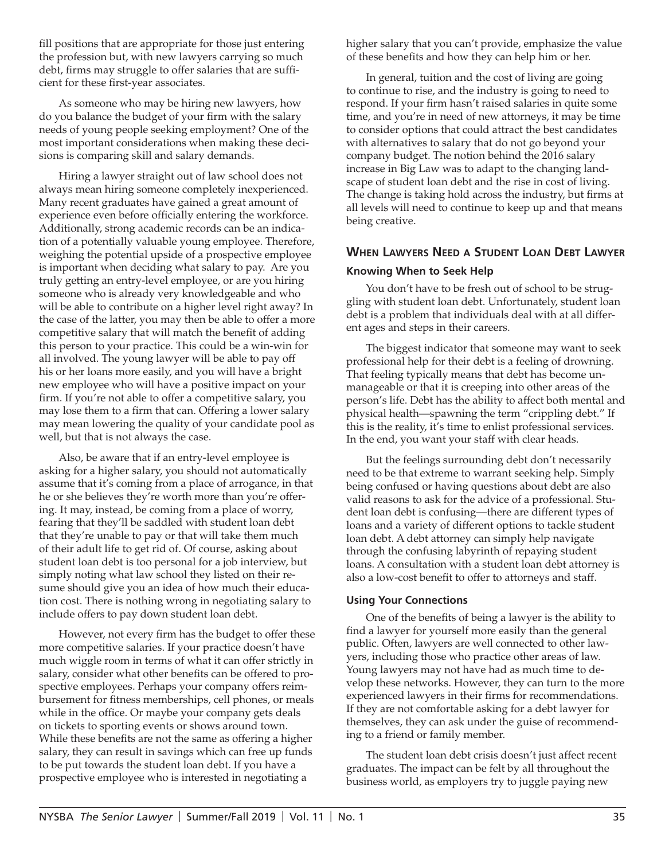fill positions that are appropriate for those just entering the profession but, with new lawyers carrying so much debt, firms may struggle to offer salaries that are sufficient for these first-year associates.

As someone who may be hiring new lawyers, how do you balance the budget of your firm with the salary needs of young people seeking employment? One of the most important considerations when making these decisions is comparing skill and salary demands.

Hiring a lawyer straight out of law school does not always mean hiring someone completely inexperienced. Many recent graduates have gained a great amount of experience even before officially entering the workforce. Additionally, strong academic records can be an indication of a potentially valuable young employee. Therefore, weighing the potential upside of a prospective employee is important when deciding what salary to pay. Are you truly getting an entry-level employee, or are you hiring someone who is already very knowledgeable and who will be able to contribute on a higher level right away? In the case of the latter, you may then be able to offer a more competitive salary that will match the benefit of adding this person to your practice. This could be a win-win for all involved. The young lawyer will be able to pay off his or her loans more easily, and you will have a bright new employee who will have a positive impact on your firm. If you're not able to offer a competitive salary, you may lose them to a firm that can. Offering a lower salary may mean lowering the quality of your candidate pool as well, but that is not always the case.

Also, be aware that if an entry-level employee is asking for a higher salary, you should not automatically assume that it's coming from a place of arrogance, in that he or she believes they're worth more than you're offering. It may, instead, be coming from a place of worry, fearing that they'll be saddled with student loan debt that they're unable to pay or that will take them much of their adult life to get rid of. Of course, asking about student loan debt is too personal for a job interview, but simply noting what law school they listed on their resume should give you an idea of how much their education cost. There is nothing wrong in negotiating salary to include offers to pay down student loan debt.

However, not every firm has the budget to offer these more competitive salaries. If your practice doesn't have much wiggle room in terms of what it can offer strictly in salary, consider what other benefits can be offered to prospective employees. Perhaps your company offers reimbursement for fitness memberships, cell phones, or meals while in the office. Or maybe your company gets deals on tickets to sporting events or shows around town. While these benefits are not the same as offering a higher salary, they can result in savings which can free up funds to be put towards the student loan debt. If you have a prospective employee who is interested in negotiating a

higher salary that you can't provide, emphasize the value of these benefits and how they can help him or her.

In general, tuition and the cost of living are going to continue to rise, and the industry is going to need to respond. If your firm hasn't raised salaries in quite some time, and you're in need of new attorneys, it may be time to consider options that could attract the best candidates with alternatives to salary that do not go beyond your company budget. The notion behind the 2016 salary increase in Big Law was to adapt to the changing landscape of student loan debt and the rise in cost of living. The change is taking hold across the industry, but firms at all levels will need to continue to keep up and that means being creative.

# **When Lawyers Need a Student Loan Debt Lawyer Knowing When to Seek Help**

You don't have to be fresh out of school to be struggling with student loan debt. Unfortunately, student loan debt is a problem that individuals deal with at all different ages and steps in their careers.

The biggest indicator that someone may want to seek professional help for their debt is a feeling of drowning. That feeling typically means that debt has become unmanageable or that it is creeping into other areas of the person's life. Debt has the ability to affect both mental and physical health—spawning the term "crippling debt." If this is the reality, it's time to enlist professional services. In the end, you want your staff with clear heads.

But the feelings surrounding debt don't necessarily need to be that extreme to warrant seeking help. Simply being confused or having questions about debt are also valid reasons to ask for the advice of a professional. Student loan debt is confusing—there are different types of loans and a variety of different options to tackle student loan debt. A debt attorney can simply help navigate through the confusing labyrinth of repaying student loans. A consultation with a student loan debt attorney is also a low-cost benefit to offer to attorneys and staff.

#### **Using Your Connections**

One of the benefits of being a lawyer is the ability to find a lawyer for yourself more easily than the general public. Often, lawyers are well connected to other lawyers, including those who practice other areas of law. Young lawyers may not have had as much time to develop these networks. However, they can turn to the more experienced lawyers in their firms for recommendations. If they are not comfortable asking for a debt lawyer for themselves, they can ask under the guise of recommending to a friend or family member.

The student loan debt crisis doesn't just affect recent graduates. The impact can be felt by all throughout the business world, as employers try to juggle paying new